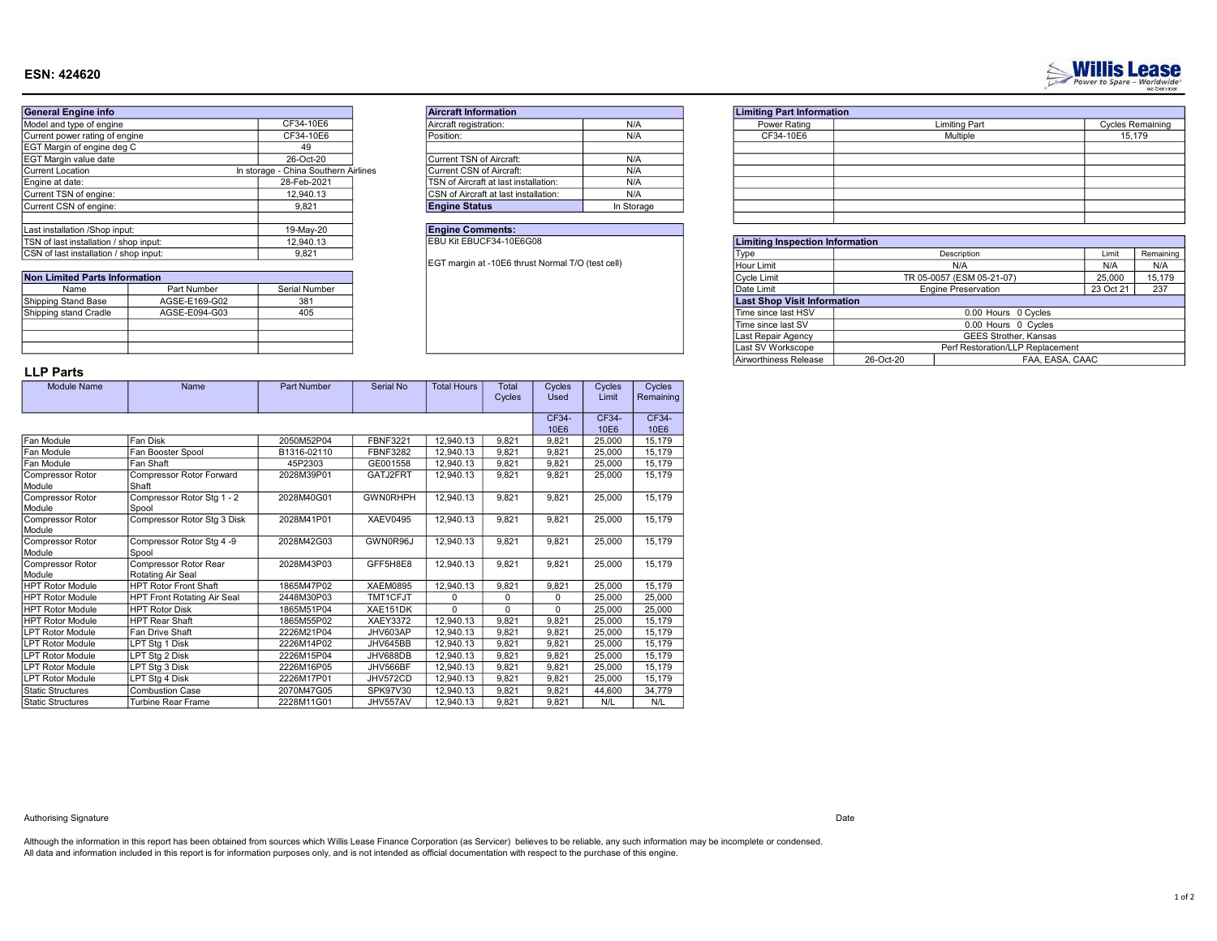# ESN: 424620

| <b>General Engine info</b>             |                                      | <b>Aircraft Information</b>           |
|----------------------------------------|--------------------------------------|---------------------------------------|
| Model and type of engine               | CF34-10E6                            | Aircraft registration:                |
| Current power rating of engine         | CF34-10E6                            | Position:                             |
| EGT Margin of engine deg C             | 49                                   |                                       |
| EGT Margin value date                  | 26-Oct-20                            | Current TSN of Aircraft:              |
| Current Location                       | In storage - China Southern Airlines | Current CSN of Aircraft:              |
| Engine at date:                        | 28-Feb-2021                          | TSN of Aircraft at last installation: |
| Current TSN of engine:                 | 12,940.13                            | CSN of Aircraft at last installation: |
| Current CSN of engine:                 | 9.821                                | <b>Engine Status</b>                  |
| Last installation /Shop input:         | 19-May-20                            | <b>Engine Comments:</b>               |
| TSN of last installation / shop input: | 12,940.13                            | EBU Kit EBUCF34-10E6G08               |
| CSN of last installation / shop input: | 9.821                                |                                       |
|                                        |                                      |                                       |

| Non Limited Parts Information |               |               |  |  |  |  |
|-------------------------------|---------------|---------------|--|--|--|--|
| Name                          | Part Number   | Serial Number |  |  |  |  |
| Shipping Stand Base           | AGSE-E169-G02 | 381           |  |  |  |  |
| Shipping stand Cradle         | AGSE-E094-G03 | 405           |  |  |  |  |
|                               |               |               |  |  |  |  |
|                               |               |               |  |  |  |  |
|                               |               |               |  |  |  |  |

| <b>Aircraft Information</b>                  |            |
|----------------------------------------------|------------|
| Aircraft registration:                       | N/A        |
| Position:                                    | N/A        |
|                                              |            |
| Current TSN of Aircraft:                     | N/A        |
| Current CSN of Aircraft:                     | N/A        |
| TSN of Aircraft at last installation:        | N/A        |
| <b>CSN</b> of Aircraft at last installation: | N/A        |
| <b>Engine Status</b>                         | In Storage |

# **Engine Comments:**<br>EBU Kit EBUCF34-10E6G08

|         | <b>Limiting Part Information</b> |                      |                         |
|---------|----------------------------------|----------------------|-------------------------|
| N/A     | Power Rating                     | <b>Limiting Part</b> | <b>Cycles Remaining</b> |
| N/A     | CF34-10E6                        | Multiple             | 15,179                  |
|         |                                  |                      |                         |
| N/A     |                                  |                      |                         |
| N/A     |                                  |                      |                         |
| N/A     |                                  |                      |                         |
| N/A     |                                  |                      |                         |
| storage |                                  |                      |                         |
|         |                                  |                      |                         |

| TSN of last installation / shop input: |               | 12,940.13     | EBU Kit EBUCF34-10E6G08                           |                                    | <b>Limiting Inspection Information</b> |                            |           |           |
|----------------------------------------|---------------|---------------|---------------------------------------------------|------------------------------------|----------------------------------------|----------------------------|-----------|-----------|
| CSN of last installation / shop input: |               | 9,821         |                                                   | <b>LVD</b>                         |                                        | Description                | Limit     | Remaining |
|                                        |               |               | EGT margin at -10E6 thrust Normal T/O (test cell) | l Hour Limit                       |                                        | N/A                        | N/A       | N/A       |
| <b>Non Limited Parts Information</b>   |               |               |                                                   | Cycle Limit                        |                                        | TR 05-0057 (ESM 05-21-07)  | 25,000    | 15,179    |
| Name                                   | Part Number   | Serial Number |                                                   | Date Limit                         |                                        | <b>Engine Preservation</b> | 23 Oct 21 | 237       |
| Shipping Stand Base                    | AGSE-E169-G02 | 381           |                                                   | <b>Last Shop Visit Information</b> |                                        |                            |           |           |
| Shipping stand Cradle                  | AGSE-E094-G03 | 405           |                                                   | Time since last HSV                | 0.00 Hours 0 Cycles                    |                            |           |           |
|                                        |               |               |                                                   | Time since last SV                 |                                        | 0.00 Hours 0 Cycles        |           |           |
|                                        |               |               |                                                   | Last Repair Agency                 |                                        | GEES Strother, Kansas      |           |           |
|                                        |               |               |                                                   | Last SV Workscope                  | Perf Restoration/LLP Replacement       |                            |           |           |
|                                        |               |               |                                                   | Airworthiness Release              | 26-Oct-20                              | FAA, EASA, CAAC            |           |           |
|                                        |               |               |                                                   |                                    |                                        |                            |           |           |

# LLP Parts

| Module Name                | Name                                | Part Number | Serial No       | <b>Total Hours</b> | Total<br>Cycles | Cycles<br><b>Used</b> | Cycles<br>Limit | Cycles<br>Remaining |
|----------------------------|-------------------------------------|-------------|-----------------|--------------------|-----------------|-----------------------|-----------------|---------------------|
|                            |                                     |             |                 |                    |                 |                       |                 |                     |
|                            |                                     |             |                 |                    |                 | CF34-                 | CF34-           | CF34-               |
|                            |                                     |             |                 |                    |                 | 10E6                  | 10E6            | 10E6                |
| Fan Module                 | Fan Disk                            | 2050M52P04  | <b>FBNF3221</b> | 12.940.13          | 9.821           | 9.821                 | 25.000          | 15,179              |
| Fan Module                 | Fan Booster Spool                   | B1316-02110 | <b>FBNF3282</b> | 12.940.13          | 9,821           | 9,821                 | 25,000          | 15,179              |
| Fan Module                 | Fan Shaft                           | 45P2303     | GE001558        | 12.940.13          | 9,821           | 9.821                 | 25,000          | 15,179              |
| Compressor Rotor<br>Module | Compressor Rotor Forward<br>Shaft   | 2028M39P01  | GATJ2FRT        | 12.940.13          | 9.821           | 9.821                 | 25.000          | 15.179              |
| Compressor Rotor<br>Module | Compressor Rotor Stg 1 - 2<br>Spool | 2028M40G01  | <b>GWN0RHPH</b> | 12.940.13          | 9.821           | 9.821                 | 25,000          | 15,179              |
| Compressor Rotor<br>Module | Compressor Rotor Stg 3 Disk         | 2028M41P01  | <b>XAEV0495</b> | 12.940.13          | 9.821           | 9.821                 | 25,000          | 15,179              |
| Compressor Rotor           | Compressor Rotor Stg 4 -9           | 2028M42G03  | GWN0R96J        | 12,940.13          | 9.821           | 9.821                 | 25.000          | 15,179              |
| Module                     | Spool                               |             |                 |                    |                 |                       |                 |                     |
| Compressor Rotor           | Compressor Rotor Rear               | 2028M43P03  | GFF5H8E8        | 12.940.13          | 9.821           | 9.821                 | 25.000          | 15,179              |
| Module                     | Rotating Air Seal                   |             |                 |                    |                 |                       |                 |                     |
| <b>HPT Rotor Module</b>    | <b>HPT Rotor Front Shaft</b>        | 1865M47P02  | <b>XAEM0895</b> | 12.940.13          | 9.821           | 9.821                 | 25.000          | 15,179              |
| <b>HPT Rotor Module</b>    | <b>HPT Front Rotating Air Seal</b>  | 2448M30P03  | TMT1CFJT        | 0                  | 0               | $\Omega$              | 25.000          | 25,000              |
| <b>HPT Rotor Module</b>    | <b>HPT Rotor Disk</b>               | 1865M51P04  | XAE151DK        | $\Omega$           | $\Omega$        | $\Omega$              | 25.000          | 25.000              |
| <b>HPT Rotor Module</b>    | <b>HPT Rear Shaft</b>               | 1865M55P02  | <b>XAEY3372</b> | 12.940.13          | 9,821           | 9.821                 | 25,000          | 15,179              |
| <b>LPT Rotor Module</b>    | Fan Drive Shaft                     | 2226M21P04  | JHV603AP        | 12.940.13          | 9,821           | 9.821                 | 25.000          | 15.179              |
| <b>LPT Rotor Module</b>    | LPT Stg 1 Disk                      | 2226M14P02  | JHV645BB        | 12.940.13          | 9.821           | 9.821                 | 25,000          | 15,179              |
| <b>LPT Rotor Module</b>    | LPT Stg 2 Disk                      | 2226M15P04  | JHV688DB        | 12.940.13          | 9,821           | 9.821                 | 25,000          | 15,179              |
| <b>LPT Rotor Module</b>    | LPT Sta 3 Disk                      | 2226M16P05  | JHV566BF        | 12.940.13          | 9.821           | 9.821                 | 25,000          | 15,179              |
| <b>LPT Rotor Module</b>    | LPT Stg 4 Disk                      | 2226M17P01  | JHV572CD        | 12.940.13          | 9.821           | 9.821                 | 25.000          | 15,179              |
| <b>Static Structures</b>   | <b>Combustion Case</b>              | 2070M47G05  | SPK97V30        | 12.940.13          | 9.821           | 9.821                 | 44,600          | 34,779              |
| <b>Static Structures</b>   | <b>Turbine Rear Frame</b>           | 2228M11G01  | JHV557AV        | 12.940.13          | 9.821           | 9.821                 | N/L             | N/L                 |

#### Authorising Signature **Date Contains a Container Contains a Container Container Container Container Container Container Container Container Container Container Container Container Container Container Container Container**

All data and information included in this report is for information purposes only, and is not intended as official documentation with respect to the purchase of this engine. Although the information in this report has been obtained from sources which Willis Lease Finance Corporation (as Servicer) believes to be reliable, any such information may be incomplete or condensed.